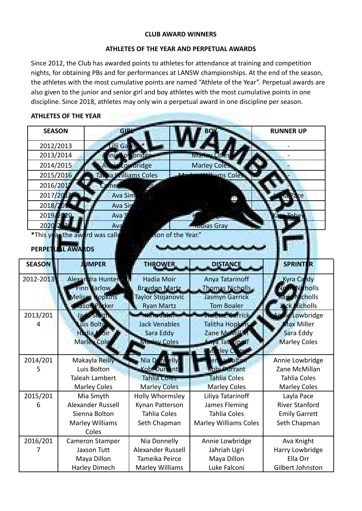## **CLUB AWARD WINNERS**

## **ATHLETES OF THE YEAR AND PERPETUAL AWARDS**

Since 2012, the Club has awarded points to athletes for attendance at training and competition nights, for obtaining PBs and for performances at LANSW championships. At the end of the season, the athletes with the most cumulative points are named "Athlete of the Year". Perpetual awards are also given to the junior and senior girl and boy athletes with the most cumulative points in one discipline. Since 2018, athletes may only win a perpetual award in one discipline per season.

## **ATHLETES OF THE YEAR**

| <b>SEASON</b> | GLRH                           |                           |                                | <b>RUNNER UP</b>      |  |  |  |  |
|---------------|--------------------------------|---------------------------|--------------------------------|-----------------------|--|--|--|--|
| 2012/2013     | lli Ga <b>r</b> rig            |                           |                                |                       |  |  |  |  |
| 2013/2014     |                                | nie Lowbridge             | Marley Coles                   |                       |  |  |  |  |
| 2014/2015     |                                | ie Lowbridge              | <b>Marley Coles</b>            |                       |  |  |  |  |
| 2015/2016     | Tartia Williams Coles          | $\Lambda$                 | <b>Arilliams Coles</b>         |                       |  |  |  |  |
| 2016/201      |                                |                           |                                |                       |  |  |  |  |
| 2017/20       | <b>Ava Sim</b>                 |                           |                                |                       |  |  |  |  |
| 2018/2        | Ava Sin                        |                           |                                |                       |  |  |  |  |
| 2019/2020     | Ava;                           |                           |                                | Tobe                  |  |  |  |  |
| 2020-2021     | Ava                            |                           | Tobias Gray                    |                       |  |  |  |  |
|               | *This year the award was calle | son of the Year."         |                                |                       |  |  |  |  |
|               | PERPETUAL AWARDS               |                           |                                |                       |  |  |  |  |
|               |                                |                           |                                |                       |  |  |  |  |
| <b>SEASON</b> | <b>JUMPER</b>                  | <b>THROWER</b>            | <b>DISTANCE</b>                | <b>SPRINTER</b>       |  |  |  |  |
| 2012-2013     | Alexandra Hunter               | <b>Hadia Moir</b>         | Anya Tatarinoff                | Kyra Cardy            |  |  |  |  |
|               | Finn Barlow                    | <b>Braydon Martz</b>      | Thomas Nicholls,               | <b>an Nicholls</b>    |  |  |  |  |
|               | Melissa Hopkins                | <b>Taylor Stojanovic</b>  | <b>Jasmyn Garrick</b>          | <b>Rart Mcholls</b>   |  |  |  |  |
|               | Aason Parker                   | <b>Ryan Martz</b>         | <b>Tom Boaler</b>              | <b>Jack Nicholls</b>  |  |  |  |  |
| 2013/201      | Jack Smith                     | <b>Allre John</b>         | <b>Vielette Gar</b> rick       | lie Lowbridge         |  |  |  |  |
| 4             | Luis Bolte                     | <b>Jack Venables</b>      | Talitha Hopkins                | Max Miller            |  |  |  |  |
|               | Hadia Moir                     | Sara Eddy<br>Marley Coles | Zane McMillan                  | Sara Eddy             |  |  |  |  |
|               | Marley Cole                    |                           | Anya Tata Tinoff<br>rley Cures | <b>Marley Coles</b>   |  |  |  |  |
| 2014/201      | Makayla Reilly                 | Nia Donnelly              | en la Boltor                   | Annie Lowbridge       |  |  |  |  |
| 5             | Luis Bolton                    | Kobi <sup>-</sup> Durrant | obi Durrant                    | Zane McMillan         |  |  |  |  |
|               | <b>Taleah Lambert</b>          | <b>Tahlia Coles</b>       | Tahlia Coles                   | <b>Tahlia Coles</b>   |  |  |  |  |
|               | <b>Marley Coles</b>            | <b>Marley Coles</b>       | <b>Marley Coles</b>            | <b>Marley Coles</b>   |  |  |  |  |
| 2015/201      | Mia Smyth                      | Holly Whormsley           | Liliya Tatarinoff              | Layla Pace            |  |  |  |  |
| 6             | Alexander Russell              | Kynan Patterson           | James Fleming                  | <b>River Stanford</b> |  |  |  |  |
|               | Sienna Bolton                  | <b>Tahlia Coles</b>       | <b>Tahlia Coles</b>            | <b>Emily Garrett</b>  |  |  |  |  |
|               | Marley Williams                | Seth Chapman              | <b>Marley Williams Coles</b>   | Seth Chapman          |  |  |  |  |
|               | Coles                          |                           |                                |                       |  |  |  |  |
| 2016/201      | Cameron Stamper                | Nia Donnelly              | Annie Lowbridge                | Ava Knight            |  |  |  |  |
| 7             | Jaxson Tutt                    | Alexander Russell         | Jahriah Ugri                   | Harry Lowbridge       |  |  |  |  |
|               | Maya Dillon                    | Tameika Peirce            | Maya Dillon                    | Ella Orr              |  |  |  |  |
|               | Harley Dimech                  | Marley Williams           | Luke Falconi                   | Gilbert Johnston      |  |  |  |  |